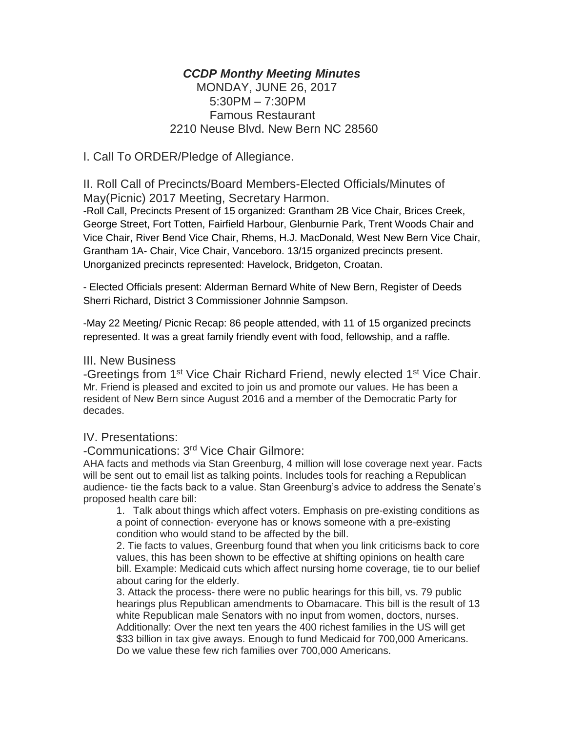### *CCDP Monthy Meeting Minutes*

# MONDAY, JUNE 26, 2017 5:30PM – 7:30PM Famous Restaurant 2210 Neuse Blvd. New Bern NC 28560

I. Call To ORDER/Pledge of Allegiance.

II. Roll Call of Precincts/Board Members-Elected Officials/Minutes of May(Picnic) 2017 Meeting, Secretary Harmon.

-Roll Call, Precincts Present of 15 organized: Grantham 2B Vice Chair, Brices Creek, George Street, Fort Totten, Fairfield Harbour, Glenburnie Park, Trent Woods Chair and Vice Chair, River Bend Vice Chair, Rhems, H.J. MacDonald, West New Bern Vice Chair, Grantham 1A- Chair, Vice Chair, Vanceboro. 13/15 organized precincts present. Unorganized precincts represented: Havelock, Bridgeton, Croatan.

- Elected Officials present: Alderman Bernard White of New Bern, Register of Deeds Sherri Richard, District 3 Commissioner Johnnie Sampson.

-May 22 Meeting/ Picnic Recap: 86 people attended, with 11 of 15 organized precincts represented. It was a great family friendly event with food, fellowship, and a raffle.

#### III. New Business

-Greetings from 1<sup>st</sup> Vice Chair Richard Friend, newly elected 1<sup>st</sup> Vice Chair. Mr. Friend is pleased and excited to join us and promote our values. He has been a resident of New Bern since August 2016 and a member of the Democratic Party for decades.

### IV. Presentations:

-Communications: 3<sup>rd</sup> Vice Chair Gilmore:

AHA facts and methods via Stan Greenburg, 4 million will lose coverage next year. Facts will be sent out to email list as talking points. Includes tools for reaching a Republican audience- tie the facts back to a value. Stan Greenburg's advice to address the Senate's proposed health care bill:

1. Talk about things which affect voters. Emphasis on pre-existing conditions as a point of connection- everyone has or knows someone with a pre-existing condition who would stand to be affected by the bill.

2. Tie facts to values, Greenburg found that when you link criticisms back to core values, this has been shown to be effective at shifting opinions on health care bill. Example: Medicaid cuts which affect nursing home coverage, tie to our belief about caring for the elderly.

3. Attack the process- there were no public hearings for this bill, vs. 79 public hearings plus Republican amendments to Obamacare. This bill is the result of 13 white Republican male Senators with no input from women, doctors, nurses. Additionally: Over the next ten years the 400 richest families in the US will get \$33 billion in tax give aways. Enough to fund Medicaid for 700,000 Americans. Do we value these few rich families over 700,000 Americans.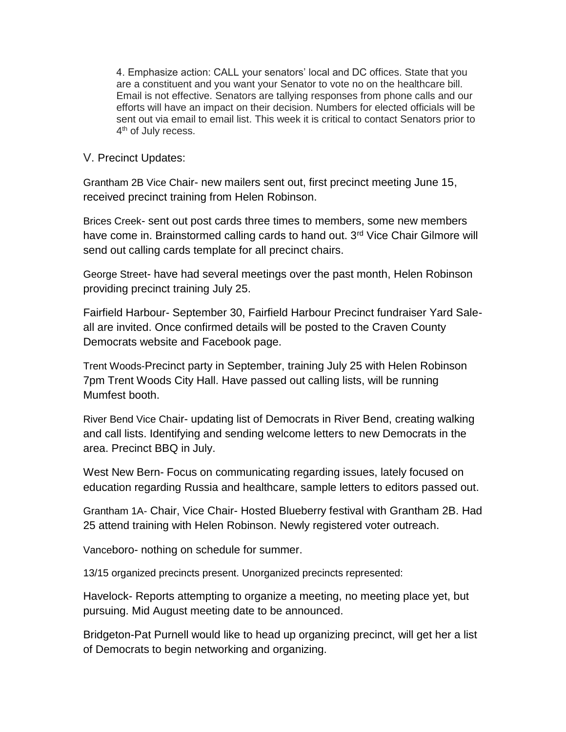4. Emphasize action: CALL your senators' local and DC offices. State that you are a constituent and you want your Senator to vote no on the healthcare bill. Email is not effective. Senators are tallying responses from phone calls and our efforts will have an impact on their decision. Numbers for elected officials will be sent out via email to email list. This week it is critical to contact Senators prior to 4<sup>th</sup> of July recess.

### V. Precinct Updates:

Grantham 2B Vice Chair- new mailers sent out, first precinct meeting June 15, received precinct training from Helen Robinson.

Brices Creek- sent out post cards three times to members, some new members have come in. Brainstormed calling cards to hand out. 3<sup>rd</sup> Vice Chair Gilmore will send out calling cards template for all precinct chairs.

George Street- have had several meetings over the past month, Helen Robinson providing precinct training July 25.

Fairfield Harbour- September 30, Fairfield Harbour Precinct fundraiser Yard Saleall are invited. Once confirmed details will be posted to the Craven County Democrats website and Facebook page.

Trent Woods-Precinct party in September, training July 25 with Helen Robinson 7pm Trent Woods City Hall. Have passed out calling lists, will be running Mumfest booth.

River Bend Vice Chair- updating list of Democrats in River Bend, creating walking and call lists. Identifying and sending welcome letters to new Democrats in the area. Precinct BBQ in July.

West New Bern- Focus on communicating regarding issues, lately focused on education regarding Russia and healthcare, sample letters to editors passed out.

Grantham 1A- Chair, Vice Chair- Hosted Blueberry festival with Grantham 2B. Had 25 attend training with Helen Robinson. Newly registered voter outreach.

Vanceboro- nothing on schedule for summer.

13/15 organized precincts present. Unorganized precincts represented:

Havelock- Reports attempting to organize a meeting, no meeting place yet, but pursuing. Mid August meeting date to be announced.

Bridgeton-Pat Purnell would like to head up organizing precinct, will get her a list of Democrats to begin networking and organizing.